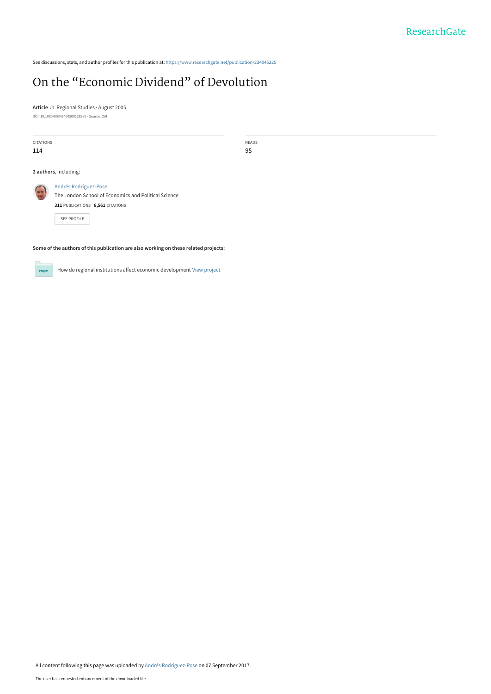See discussions, stats, and author profiles for this publication at: [https://www.researchgate.net/publication/234045225](https://www.researchgate.net/publication/234045225_On_the_Economic_Dividend_of_Devolution?enrichId=rgreq-420d404ed0dbc49a3839664007c51da7-XXX&enrichSource=Y292ZXJQYWdlOzIzNDA0NTIyNTtBUzo1MzYxMDA2ODUxODkxMjVAMTUwNDgyNzc3MTg1OA%3D%3D&el=1_x_2&_esc=publicationCoverPdf)

### [On the "Economic Dividend" of Devolution](https://www.researchgate.net/publication/234045225_On_the_Economic_Dividend_of_Devolution?enrichId=rgreq-420d404ed0dbc49a3839664007c51da7-XXX&enrichSource=Y292ZXJQYWdlOzIzNDA0NTIyNTtBUzo1MzYxMDA2ODUxODkxMjVAMTUwNDgyNzc3MTg1OA%3D%3D&el=1_x_3&_esc=publicationCoverPdf)

**Article** in Regional Studies · August 2005

DOI: 10.1080/00343400500128390 · Source: OAI

| <b>CITATIONS</b>      |                                                      | READS |
|-----------------------|------------------------------------------------------|-------|
| 114                   |                                                      | 95    |
|                       |                                                      |       |
| 2 authors, including: |                                                      |       |
| $\overline{a}$        | Andrés Rodríguez-Pose                                |       |
|                       | The London School of Economics and Political Science |       |
|                       | 311 PUBLICATIONS 8,561 CITATIONS                     |       |
|                       | <b>SEE PROFILE</b>                                   |       |

**Some of the authors of this publication are also working on these related projects:**

Project

How do regional institutions affect economic development [View project](https://www.researchgate.net/project/How-do-regional-institutions-affect-economic-development?enrichId=rgreq-420d404ed0dbc49a3839664007c51da7-XXX&enrichSource=Y292ZXJQYWdlOzIzNDA0NTIyNTtBUzo1MzYxMDA2ODUxODkxMjVAMTUwNDgyNzc3MTg1OA%3D%3D&el=1_x_9&_esc=publicationCoverPdf)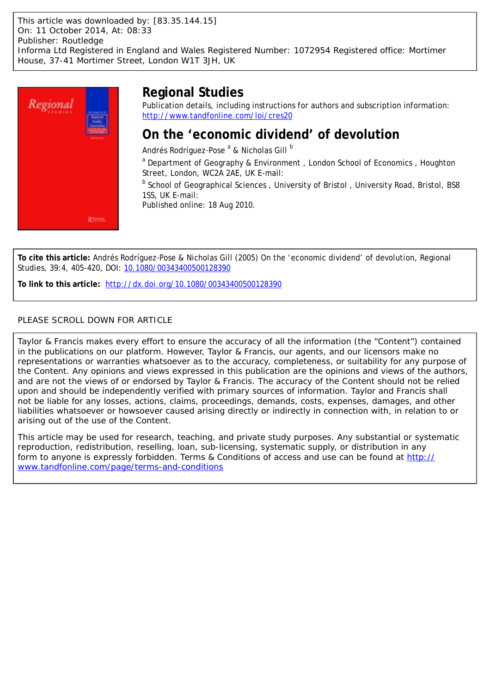This article was downloaded by: [83.35.144.15] On: 11 October 2014, At: 08:33 Publisher: Routledge Informa Ltd Registered in England and Wales Registered Number: 1072954 Registered office: Mortimer House, 37-41 Mortimer Street, London W1T 3JH, UK



## **Regional Studies**

Publication details, including instructions for authors and subscription information: <http://www.tandfonline.com/loi/cres20>

## **On the 'economic dividend' of devolution**

Andrés Rodríguez-Pose <sup>a</sup> & Nicholas Gill <sup>b</sup>

<sup>a</sup> Department of Geography & Environment, London School of Economics, Houghton Street, London, WC2A 2AE, UK E-mail:

<sup>b</sup> School of Geographical Sciences, University of Bristol, University Road, Bristol, BS8 1SS, UK E-mail:

Published online: 18 Aug 2010.

**To cite this article:** Andrés Rodríguez‐Pose & Nicholas Gill (2005) On the 'economic dividend' of devolution, Regional Studies, 39:4, 405-420, DOI: [10.1080/00343400500128390](http://www.tandfonline.com/action/showCitFormats?doi=10.1080/00343400500128390)

**To link to this article:** <http://dx.doi.org/10.1080/00343400500128390>

### PLEASE SCROLL DOWN FOR ARTICLE

Taylor & Francis makes every effort to ensure the accuracy of all the information (the "Content") contained in the publications on our platform. However, Taylor & Francis, our agents, and our licensors make no representations or warranties whatsoever as to the accuracy, completeness, or suitability for any purpose of the Content. Any opinions and views expressed in this publication are the opinions and views of the authors, and are not the views of or endorsed by Taylor & Francis. The accuracy of the Content should not be relied upon and should be independently verified with primary sources of information. Taylor and Francis shall not be liable for any losses, actions, claims, proceedings, demands, costs, expenses, damages, and other liabilities whatsoever or howsoever caused arising directly or indirectly in connection with, in relation to or arising out of the use of the Content.

This article may be used for research, teaching, and private study purposes. Any substantial or systematic reproduction, redistribution, reselling, loan, sub-licensing, systematic supply, or distribution in any form to anyone is expressly forbidden. Terms & Conditions of access and use can be found at [http://](http://www.tandfonline.com/page/terms-and-conditions) [www.tandfonline.com/page/terms-and-conditions](http://www.tandfonline.com/page/terms-and-conditions)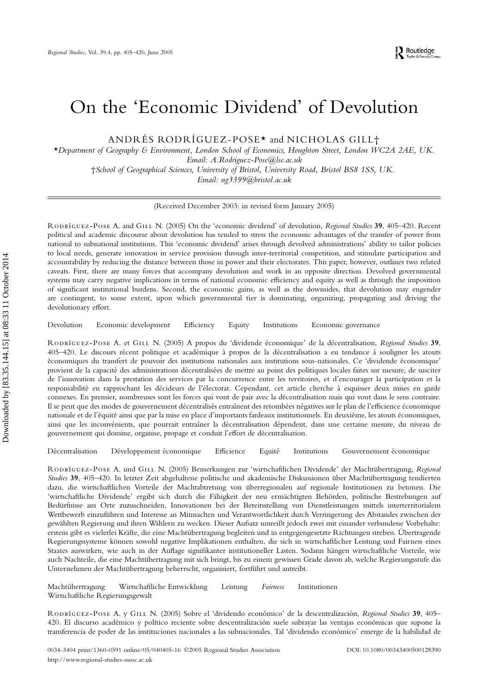# On the 'Economic Dividend' of Devolution

ANDRÉS RODRÍGUEZ-POSE $\star$  and NICHOLAS GILL†

\**Department of Geography & Environment, London School of Economics, Houghton Street, London WC2A 2AE, UK. Email: A.Rodrı´guez-Pose@lse.ac.uk*

†*School of Geographical Sciences, University of Bristol, University Road, Bristol BS8 1SS, UK. Email: ng3399@bristol.ac.uk*

(Received December 2003: in revised form January 2005)

RODRÍGUEZ-POSE A. and GILL N. (2005) On the 'economic dividend' of devolution, *Regional Studies* 39, 405–420. Recent political and academic discourse about devolution has tended to stress the economic advantages of the transfer of power from national to subnational institutions. This 'economic dividend' arises through devolved administrations' ability to tailor policies to local needs, generate innovation in service provision through inter-territorial competition, and stimulate participation and accountability by reducing the distance between those in power and their electorates. This paper, however, outlines two related caveats. First, there are many forces that accompany devolution and work in an opposite direction. Devolved governmental systems may carry negative implications in terms of national economic efficiency and equity as well as through the imposition of significant institutional burdens. Second, the economic gains, as well as the downsides, that devolution may engender are contingent, to some extent, upon which governmental tier is dominating, organizing, propagating and driving the devolutionary effort.

Devolution Economic development Efficiency Equity Institutions Economic governance

RODRÍGUEZ-POSE A. et GILL N. (2005) A propos du 'dividende économique' de la décentralisation, *Regional Studies* 39, 405–420. Le discours récent politique et académique à propos de la décentralisation a eu tendance à souligner les atouts économiques du transfert de pouvoir des institutions nationales aux institutions sous-nationales. Ce 'dividende économique' provient de la capacité des administrations décentralisées de mettre au point des politiques locales faites sur mesure, de susciter de l'innovation dans la prestation des services par la concurrence entre les territoires, et d'encourager la participation et la responsabilité en rapprochant les décideurs de l'électorat. Cependant, cet article cherche à esquisser deux mises en garde connexes. En premier, nombreuses sont les forces qui vont de pair avec la de´centralisation mais qui vont dans le sens contraire. Il se peut que des modes de gouvernement décentralisés entraînent des retombées négatives sur le plan de l'efficience économique nationale et de l'équité ainsi que par la mise en place d'importants fardeaux institutionnels. En deuxième, les atouts économiques, ainsi que les inconvénients, que pourrait entraîner la décentralisation dépendent, dans une certaine mesure, du niveau de gouvernement qui domine, organise, propage et conduit l'effort de décentralisation.

Décentralisation Développement économique Efficience Equité Institutions Gouvernement économique

RODRÍGUEZ-POSE A. und GILL N. (2005) Bemerkungen zur 'wirtschaftlichen Dividende' der Machtübertragung, *Regional Studies* 39, 405–420. In letzter Zeit abgehaltene politische und akademische Diskussionen über Machtübertragung tendierten dazu, die wirtschaftlichen Vorteile der Machtabtretung von überregionalen auf regionale Institutionen zu betonen. Die 'wirtschaftliche Dividende' ergibt sich durch die Fähigkeit der neu ermächtigten Behörden, politische Bestrebungen auf Bedürfnisse am Orte zuzuschneiden, Innovationen bei der Bereitsstellung von Dienstleistungen mittels interterritorialem Wettbewerb einzuführen und Interesse an Mitmachen und Verantwortlichkeit durch Verringerung des Abstandes zwischen der gewählten Regierung und ihren Wählern zu wecken. Dieser Aufsatz umreißt jedoch zwei mit einander verbundene Vorbehalte: erstens gibt es vielerlei Kräfte, die eine Machtübertragung begleiten und in entgegengesetzte Richtungen streben. Übertragende Regierungssysteme können sowohl negative Implikationen enthalten, die sich in wirtschaftlicher Leistung und Fairness eines Staates auswirken, wie auch in der Auflage signifikanter institutioneller Lasten. Sodann hängen wirtschaftliche Vorteile, wie auch Nachteile, die eine Machtübertragung mit sich bringt, bis zu einem gewissen Grade davon ab, welche Regierungsstufe das Unternehmen der Machtübertragung beherrscht, organisiert, fortführt und antreibt.

Machtu¨bertragung Wirtschaftliche Entwicklung Leistung *Fairness* Institutionen Wirtschaftliche Regierungsgewalt

RODRÍGUEZ-POSE A. y GILL N. (2005) Sobre el 'dividendo económico' de la descentralización, *Regional Studies* 39, 405– 420. El discurso académico y político reciente sobre descentralización suele subrayar las ventajas económicas que supone la transferencia de poder de las instituciones nacionales a las subnacionales. Tal 'dividendo económico' emerge de la habilidad de

0034-3404 print/1360-0591 online/05/040405-16 ©2005 Regional Studies Association DOI: 10.1080/00343400500128390 http://www.regional-studies-assoc.ac.uk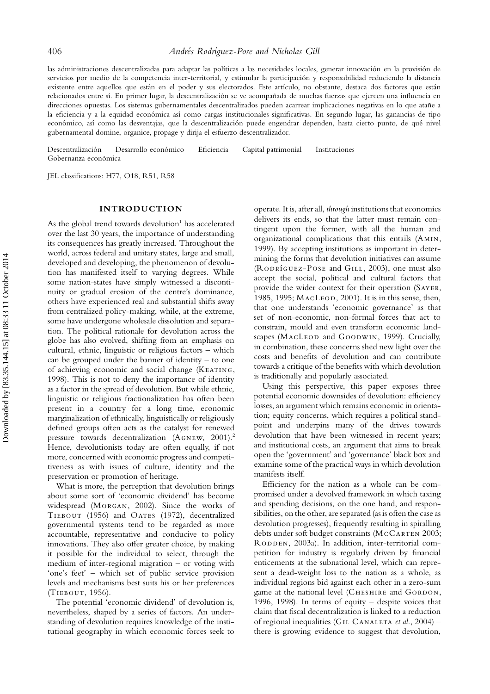406 *Andre´s Rodr´ıguez-Pose and Nicholas Gill*

las administraciones descentralizadas para adaptar las políticas a las necesidades locales, generar innovación en la provisión de servicios por medio de la competencia inter-territorial, y estimular la participación y responsabilidad reduciendo la distancia existente entre aquellos que están en el poder y sus electorados. Este artículo, no obstante, destaca dos factores que están relacionados entre sí. En primer lugar, la descentralización se ve acompañada de muchas fuerzas que ejercen una influencia en direcciones opuestas. Los sistemas gubernamentales descentralizados pueden acarrear implicaciones negativas en lo que atañe a la eficiencia y a la equidad económica así como cargas institucionales significativas. En segundo lugar, las ganancias de tipo económico, así como las desventajas, que la descentralización puede engendrar dependen, hasta cierto punto, de qué nivel gubernamental domine, organice, propage y dirija el esfuerzo descentralizador.

Descentralización Desarrollo económico Eficiencia Capital patrimonial Instituciones Gobernanza económica

JEL classifications: H77, O18, R51, R58

cultural, ethnic, linguistic or religious factors – which<br>can be grouped under the banner of identity – to one<br>of achieving economic and social change (KEATING towards a critique of the benefits with which devolution For a chieving economic and social change (KEATING,<br>
1998). This is not to deny the importance of identity<br>
as a factor in the spread of devolution. But while ethnic,<br>
linguistic or religious fractionalization has often be present in a country for a long time, economic losses, an argument which remains economic in orienta-<br>marginalization of ethnically, linguistically or religiously tion; equity concerns, which requires a political stand-<br>de defined groups often acts as the catalyst for renewed<br>point and underpins many of the drives towards<br>pressure towards decentralization (AGNEW, 2001).<sup>2</sup> devolution that have been witnessed in recent years; Hence, devolutionists today are often equally, if not and institutional costs, an argument that aims to break more, concerned with economic progress and competi- open the 'government' and 'governance' black box and tiveness as with issues of culture, identity and the examine some of the practical ways in which devolution<br>manifests itself. preservation or promotion of heritage.

about some sort of 'economic dividend' has become widespread (MORGAN, 2002). Since the works of and spending decisions, on the one hand, and respon-TIEBOUT (1956) and OATES (1972), decentralized sibilities, on the other, are separated (as is often the case as governmental systems tend to be regarded as more devolution progresses), frequently resulting in spiralling<br>accountable, representative and conducive to policy debts under soft budget constraints (MCCARTEN 2003; accountable, representative and conducive to policy innovations. They also offer greater choice, by making RODDEN, 2003a). In addition, inter-territorial comit possible for the individual to select, through the petition for industry is regularly driven by financial medium of inter-regional migration – or voting with enticements at the subnational level, which can repre- 'one's feet' - which set of public service provision sent a dead-weight loss to the nation as a whole, as levels and mechanisms best suits his or her preferences individual regions bid against each other in a zero-sum (TIEBOUT, 1956). Game are the national level (CHESHIRE and GORDON,

nevertheless, shaped by a series of factors. An under- claim that fiscal decentralization is linked to a reduction standing of devolution requires knowledge of the insti- of regional inequalities (G<sub>IL</sub> CANALETA *et al.*, 2004) – tutional geography in which economic forces seek to there is growing evidence to suggest that devolution,

**INTRODUCTION** operate. It is, after all, *through* institutions that economics As the global trend towards devolution has accelerated<br>over the last 30 years, the importance of understanding<br>organizational complications that this elution and and<br>the horme of some complications that this entails (AMIN

What is more, the perception that devolution brings Efficiency for the nation as a whole can be com-<br>out some sort of 'economic dividend' has become promised under a devolved framework in which taxing The potential 'economic dividend' of devolution is, 1996, 1998). In terms of equity – despite voices that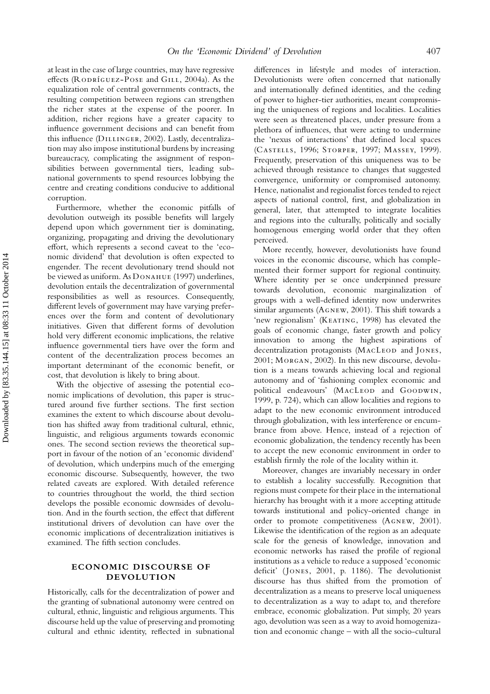at least in the case of large countries, may have regressive differences in lifestyle and modes of interaction. effects (RODRÍGUEZ-POSE and GILL, 2004a). As the Devolutionists were often concerned that nationally equalization role of central governments contracts, the and internationally defined identities, and the ceding resulting competition between regions can strengthen of power to higher-tier authorities, meant compromisthe richer states at the expense of the poorer. In ing the uniqueness of regions and localities. Localities addition, richer regions have a greater capacity to were seen as threatened places, under pressure from a influence government decisions and can benefit from plethora of influences, that were acting to undermine this influence (DILLINGER, 2002). Lastly, decentraliza- the 'nexus of interactions' that defined local spaces tion may also impose institutional burdens by increasing (CASTELLS, 1996; STORPER, 1997; MASSEY, 1999).<br>
bureaucracy, complicating the assignment of respon-<br>
Frequently preservation of this uniqueness was to be bureaucracy, complicating the assignment of respon-<br>sibilities between governmental tiers, leading sub-<br>achieved through resistance to changes that suggested sibilities between governmental tiers, leading sub-<br>
achieved through resistance to changes that suggested<br>
national governments to spend resources lobbying the<br>
convergence uniformity or compromised autonomy national governments to spend resources lobbying the convergence, uniformity or compromised autonomy.<br>
centre and creating conditions conducive to additional Hence nationalist and regionalist forces tended to reject centre and creating conditions conducive to additional Hence, nationalist and regionalist forces tended to reject<br>corruption.

Historically, calls for the decentralization of power and decentralization as a means to preserve local uniqueness the granting of subnational autonomy were centred on to decentralization as a way to adapt to, and therefore cultural, ethnic, linguistic and religious arguments. This embrace, economic globalization. Put simply, 20 years discourse held up the value of preserving and promoting ago, devolution was seen as a way to avoid homogenizacultural and ethnic identity, reflected in subnational tion and economic change – with all the socio-cultural

corruption<br>
Furthermore, whether the conomic pitfalls of agreeral farmed, from a equilible bearing<br>the Furthermore, whether the conomic pitfalls of general, laret, that at<br>temperat to inegrate localized depend upon which

tion. And in the fourth section, the effect that different towards institutional and policy-oriented change in<br>institutional drivers of devolution can have over the order to promote competitiveness (AGNEW, 2001). economic implications of decentralization initiatives is Likewise the identification of the region as an adequate examined. The fifth section concludes. scale for the genesis of knowledge, innovation and economic networks has raised the profile of regional institutions as a vehicle to reduce a supposed 'economic **ECONOMIC DISCOURSE OF** deficit' (JONES, 2001, p. 1186). The devolutionist **DEVOLUTION** discourse has thus shifted from the promotion of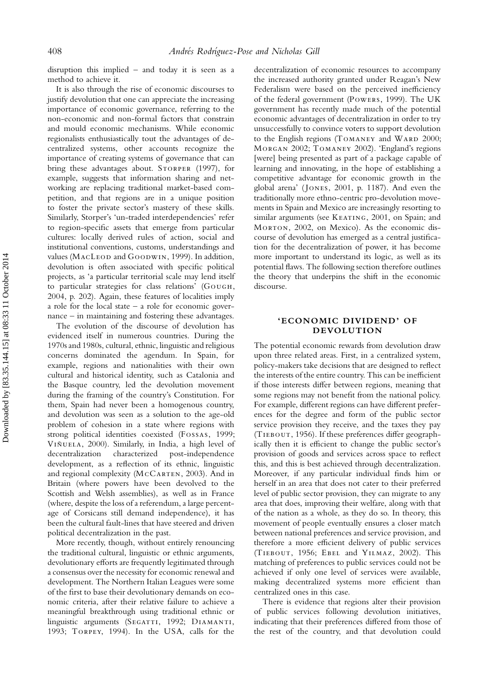method to achieve it. the increased authority granted under Reagan's New

justify devolution that one can appreciate the increasing of the federal government (POWERS, 1999). The UK importance of economic governance, referring to the government has recently made much of the potential non-economic and non-formal factors that constrain economic advantages of decentralization in order to try and mould economic mechanisms. While economic unsuccessfully to convince voters to support devolution regionalists enthusiastically tout the advantages of de- to the English regions (TOMANEY and WARD 2000; centralized systems, other accounts recognize the MORGAN 2002; TOMANEY 2002). 'England's regions importance of creating systems of governance that can [were] being presented as part of a package capable of bring these advantages about. STORPER  $(1997)$ , for learning and innovating, in the hope of establishing a example, suggests that information sharing and net- competitive advantage for economic growth in the working are replacing traditional market-based com- global arena' (JONES, 2001, p. 1187). And even the petition, and that regions are in a unique position traditionally more ethno-centric pro-devolution moveto foster the private sector's mastery of these skills. ments in Spain and Mexico are increasingly resorting to Similarly, Storper's 'un-traded interdependencies' refer similar arguments (see KEATING, 2001, on Spain; and to region-specific assets that emerge from particular MORTON, 2002, on Mexico). As the economic discultures: locally derived rules of action, social and course of devolution has emerged as a central justificainstitutional conventions, customs, understandings and tion for the decentralization of power, it has become values (MACLEOD and GOODWIN, 1999). In addition, more important to understand its logic, as well as its devolution is often associated with specific political potential flaws. The following section therefore outlines projects, as 'a particular territorial scale may lend itself the theory that underpins the shift in the economic to particular strategies for class relations' (GOUGH, discourse. 2004, p. 202). Again, these features of localities imply a role for the local state  $-$  a role for economic gover-

nance – in maintaining and fostering these advantages.<br>
The evolution of the discourse of devolution has<br> **ECONOMIC DIVIDEND' OF**<br> **DEVOLUTION** DEVOLUTION 1970s and 1980s, cultural, ethnic, linguistic and religious The potential economic rewards from devolution draw concerns dominated the agendum. In Spain, for upon three related areas. First, in a centralized system, example, regions and nationalities with their own policy-makers take decisions that are designed to reflect cultural and historical identity, such as Catalonia and the interests of the entire country. This can be inefficient the Basque country, led the devolution movement if those interests differ between regions, meaning that during the framing of the country's Constitution. For some regions may not benefit from the national policy. them, Spain had never been a homogenous country, For example, different regions can have different preferand devolution was seen as a solution to the age-old ences for the degree and form of the public sector problem of cohesion in a state where regions with service provision they receive, and the taxes they pay strong political identities coexisted (FOSSAS, 1999; (TIEBOUT, 1956). If these preferences differ geograph-VIÑUELA, 2000). Similarly, in India, a high level of ically then it is efficient to change the public sector's decentralization characterized post-independence provision of goods and services across space to reflect development, as a reflection of its ethnic, linguistic this, and this is best achieved through decentralization. and regional complexity ( $M_{\text{C}}$ CARTEN, 2003). And in Moreover, if any particular individual finds him or Britain (where powers have been devolved to the herself in an area that does not cater to their preferred Scottish and Welsh assemblies), as well as in France level of public sector provision, they can migrate to any (where, despite the loss of a referendum, a large percent- area that does, improving their welfare, along with that age of Corsicans still demand independence), it has of the nation as a whole, as they do so. In theory, this been the cultural fault-lines that have steered and driven movement of people eventually ensures a closer match

the traditional cultural, linguistic or ethnic arguments, (TIEBOUT, 1956; EBEL and YILMAZ, 2002). This devolutionary efforts are frequently legitimated through matching of preferences to public services could not be a consensus over the necessity for economic renewal and achieved if only one level of services were available, development. The Northern Italian Leagues were some making decentralized systems more efficient than of the first to base their devolutionary demands on eco- centralized ones in this case. nomic criteria, after their relative failure to achieve a There is evidence that regions alter their provision meaningful breakthrough using traditional ethnic or of public services following devolution initiatives, linguistic arguments (SEGATTI, 1992; DIAMANTI, indicating that their preferences differed from those of 1993; TORPEY, 1994). In the USA, calls for the the rest of the country, and that devolution could

disruption this implied – and today it is seen as a decentralization of economic resources to accompany It is also through the rise of economic discourses to Federalism were based on the perceived inefficiency

political decentralization in the past. between national preferences and service provision, and More recently, though, without entirely renouncing therefore a more efficient delivery of public services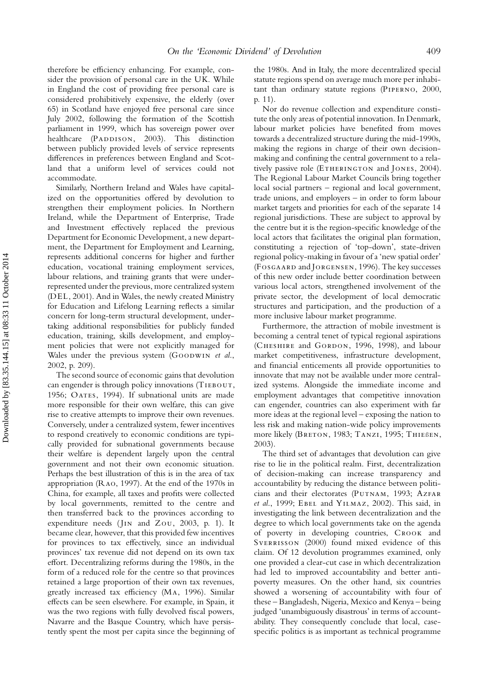therefore be efficiency enhancing. For example, con- the 1980s. And in Italy, the more decentralized special sider the provision of personal care in the UK. While statute regions spend on average much more per inhabiin England the cost of providing free personal care is tant than ordinary statute regions (PIPERNO, 2000, considered prohibitively expensive, the elderly (over p. 11). 65) in Scotland have enjoyed free personal care since Nor do revenue collection and expenditure consti-July 2002, following the formation of the Scottish tute the only areas of potential innovation. In Denmark, parliament in 1999, which has sovereign power over labour market policies have benefited from moves healthcare (PADDISON, 2003). This distinction towards a decentralized structure during the mid-1990s, between publicly provided levels of service represents making the regions in charge of their own decisiondifferences in preferences between England and Scot- making and confining the central government to a relaland that a uniform level of services could not tively passive role  $(ETHERINGTON and JONES, 2004)$ . accommodate. The Regional Labour Market Councils bring together

ized on the opportunities offered by devolution to trade unions, and employers – in order to form labour strengthen their employment policies. In Northern market targets and priorities for each of the separate 14 Ireland, while the Department of Enterprise, Trade regional jurisdictions. These are subject to approval by and Investment effectively replaced the previous the centre but it is the region-specific knowledge of the Department for Economic Development, a new depart- local actors that facilitates the original plan formation, ment, the Department for Employment and Learning, constituting a rejection of 'top-down', state-driven represents additional concerns for higher and further regional policy-making in favour of a 'new spatial order' education, vocational training employment services, (FOSGAARD and JORGENSEN, 1996). The key successes labour relations, and training grants that were under- of this new order include better coordination between represented under the previous, more centralized system various local actors, strengthened involvement of the (DEL, 2001). And in Wales, the newly created Ministry private sector, the development of local democratic for Education and Lifelong Learning reflects a similar structures and participation, and the production of a concern for long-term structural development, under- more inclusive labour market programme. taking additional responsibilities for publicly funded Furthermore, the attraction of mobile investment is education, training, skills development, and employ- becoming a central tenet of typical regional aspirations ment policies that were not explicitly managed for (CHESHIRE and GORDON, 1996, 1998), and labour Wales under the previous system (GOODWIN et al., market competitiveness, infrastructure development, 2002, p. 209). and financial enticements all provide opportunities to

can engender is through policy innovations (TIEBOUT, ized systems. Alongside the immediate income and 1956; OATES, 1994). If subnational units are made employment advantages that competitive innovation more responsible for their own welfare, this can give can engender, countries can also experiment with far rise to creative attempts to improve their own revenues. more ideas at the regional level – exposing the nation to Conversely, under a centralized system, fewer incentives less risk and making nation-wide policy improvements to respond creatively to economic conditions are typi- more likely (BRETON, 1983; TANZI, 1995; THIEBEN, cally provided for subnational governments because 2003). their welfare is dependent largely upon the central The third set of advantages that devolution can give government and not their own economic situation. rise to lie in the political realm. First, decentralization Perhaps the best illustration of this is in the area of tax of decision-making can increase transparency and appropriation (R $A$  0, 1997). At the end of the 1970s in accountability by reducing the distance between politi-China, for example, all taxes and profits were collected cians and their electorates (PUTNAM, 1993; AZFAR by local governments, remitted to the centre and *et al.*, 1999; EBEL and YILMAZ, 2002). This said, in then transferred back to the provinces according to investigating the link between decentralization and the expenditure needs (JIN and ZOU, 2003, p. 1). It degree to which local governments take on the agenda became clear, however, that this provided few incentives of poverty in developing countries, CROOK and for provinces to tax effectively, since an individual SVERRISSON (2000) found mixed evidence of this provinces' tax revenue did not depend on its own tax claim. Of 12 devolution programmes examined, only effort. Decentralizing reforms during the 1980s, in the one provided a clear-cut case in which decentralization form of a reduced role for the centre so that provinces had led to improved accountability and better antiretained a large proportion of their own tax revenues, poverty measures. On the other hand, six countries greatly increased tax efficiency (MA, 1996). Similar showed a worsening of accountability with four of effects can be seen elsewhere. For example, in Spain, it these – Bangladesh, Nigeria, Mexico and Kenya – being was the two regions with fully devolved fiscal powers, judged 'unambiguously disastrous' in terms of account-Navarre and the Basque Country, which have persis- ability. They consequently conclude that local, casetently spent the most per capita since the beginning of specific politics is as important as technical programme

Similarly, Northern Ireland and Wales have capital- local social partners – regional and local government,

The second source of economic gains that devolution innovate that may not be available under more central-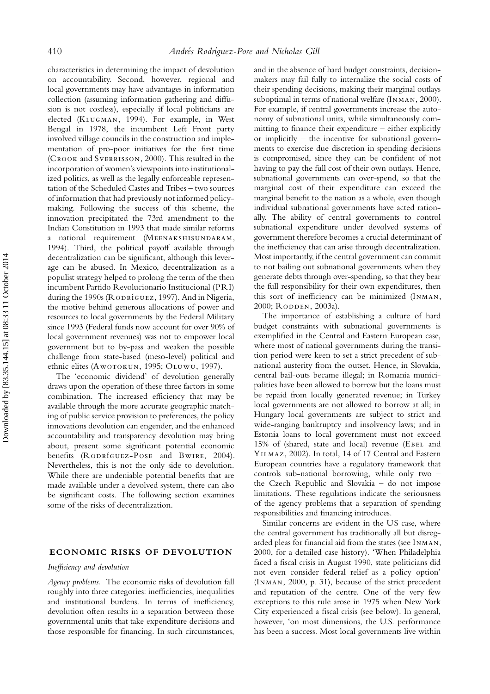characteristics in determining the impact of devolution and in the absence of hard budget constraints, decisionon accountability. Second, however, regional and makers may fail fully to internalize the social costs of local governments may have advantages in information their spending decisions, making their marginal outlays collection (assuming information gathering and diffu-<br>suboptimal in terms of national welfare (INMAN, 2000). sion is not costless), especially if local politicians are For example, if central governments increase the autoelected (KLUGMAN, 1994). For example, in West nomy of subnational units, while simultaneously com-Bengal in 1978, the incumbent Left Front party mitting to finance their expenditure – either explicitly involved village councils in the construction and imple- or implicitly – the incentive for subnational governmentation of pro-poor initiatives for the first time ments to exercise due discretion in spending decisions (CROOK and SVERRISSON, 2000). This resulted in the is compromised, since they can be confident of not incorporation of women's viewpoints into institutional- having to pay the full cost of their own outlays. Hence, ized politics, as well as the legally enforceable represen- subnational governments can over-spend, so that the tation of the Scheduled Castes and Tribes – two sources marginal cost of their expenditure can exceed the of information that had previously not informed policy- marginal benefit to the nation as a whole, even though making. Following the success of this scheme, the individual subnational governments have acted rationinnovation precipitated the 73rd amendment to the ally. The ability of central governments to control Indian Constitution in 1993 that made similar reforms subnational expenditure under devolved systems of 1994). Third, the political payoff available through the inefficiency that can arise through decentralization. decentralization can be significant, although this lever- Most importantly, if the central government can commit age can be abused. In Mexico, decentralization as a to not bailing out subnational governments when they populist strategy helped to prolong the term of the then generate debts through over-spending, so that they bear incumbent Partido Revolucionario Institucional (PRI) the full responsibility for their own expenditures, then during the 1990s (RODRÍGUEZ, 1997). And in Nigeria, this sort of inefficiency can be minimized (INMAN, the motive behind generous allocations of power and 2000; RODDEN, 2003a). resources to local governments by the Federal Military The importance of establishing a culture of hard since 1993 (Federal funds now account for over 90% of budget constraints with subnational governments is local government revenues) was not to empower local exemplified in the Central and Eastern European case, government but to by-pass and weaken the possible where most of national governments during the transichallenge from state-based (meso-level) political and tion period were keen to set a strict precedent of subethnic elites (A wOTOKUN, 1995; OLUWU, 1997). a national austerity from the outset. Hence, in Slovakia,

draws upon the operation of these three factors in some palities have been allowed to borrow but the loans must combination. The increased efficiency that may be be repaid from locally generated revenue; in Turkey<br>available through the more accurate geographic match-<br>local governments are not allowed to borrow at all; in available through the more accurate geographic matching of public service provision to preferences, the policy Hungary local governments are subject to strict and innovations devolution can engender, and the enhanced wide-ranging bankruptcy and insolvency laws; and in<br>accountability and transparency devolution may bring Estonia loans to local government must not exceed accountability and transparency devolution may bring about, present some significant potential economic 15% of (shared, state and local) revenue (EBEL and benefits (RODRÍGUEZ-POSE and BWIRE, 2004). YILMAZ, 2002). In total, 14 of 17 Central and Eastern Nevertheless, this is not the only side to devolution. European countries have a regulatory framework that While there are undeniable potential benefits that are controls sub-national borrowing, while only two made available under a devolved system, there can also the Czech Republic and Slovakia – do not impose<br>be significant costs. The following section examines limitations. These regulations indicate the seriousness be significant costs. The following section examines some of the risks of decentralization. of the agency problems that a separation of spending

*Agency problems.* The economic risks of devolution fall (INMAN, 2000, p. 31), because of the strict precedent roughly into three categories: inefficiencies, inequalities and reputation of the centre. One of the very few and institutional burdens. In terms of inefficiency, exceptions to this rule arose in 1975 when New York devolution often results in a separation between those City experienced a fiscal crisis (see below). In general, governmental units that take expenditure decisions and however, 'on most dimensions, the U.S. performance those responsible for financing. In such circumstances, has been a success. Most local governments live within

national requirement (MEENAKSHISUNDARAM, government therefore becomes a crucial determinant of

The 'economic dividend' of devolution generally central bail-outs became illegal; in Romania municiresponsibilities and financing introduces.

Similar concerns are evident in the US case, where the central government has traditionally all but disregarded pleas for financial aid from the states (see INMAN, **ECONOMIC RISKS OF DEVOLUTION** 2000, for a detailed case history). 'When Philadelphia *Inefficiency and devolution*<br>*Inefficiency and devolution* not even consider federal relief as a policy option'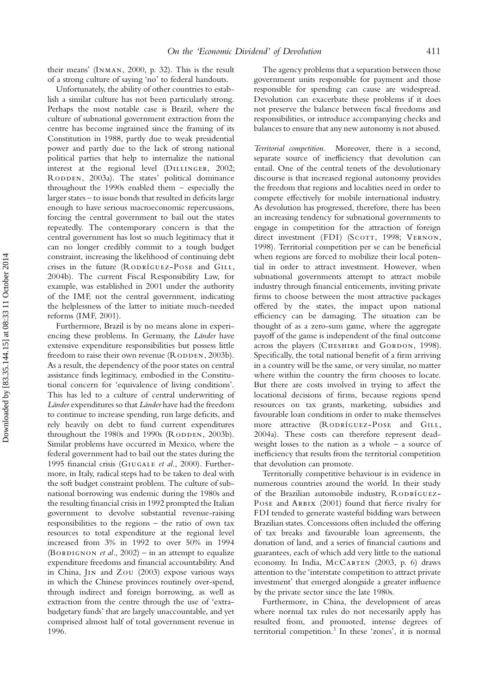of a strong culture of saying 'no' to federal handouts. government units responsible for payment and those

lish a similar culture has not been particularly strong. Devolution can exacerbate these problems if it does Perhaps the most notable case is Brazil, where the not preserve the balance between fiscal freedoms and culture of subnational government extraction from the responsibilities, or introduce accompanying checks and centre has become ingrained since the framing of its balances to ensure that any new autonomy is not abused. Constitution in 1988, partly due to weak presidential power and partly due to the lack of strong national *Territorial competition.* Moreover, there is a second, political parties that help to internalize the national separate source of inefficiency that devolution can interest at the regional level (DILLINGER, 2002; entail. One of the central tenets of the devolutionary R, 2003a). The states' political dominance discourse is that increased regional autonomy provides throughout the 1990s enabled them - especially the the freedom that regions and localities need in order to larger states – to issue bonds that resulted in deficits large compete effectively for mobile international industry. enough to have serious macroeconomic repercussions, As devolution has progressed, therefore, there has been forcing the central government to bail out the states an increasing tendency for subnational governments to repeatedly. The contemporary concern is that the engage in competition for the attraction of foreign central government has lost so much legitimacy that it direct investment (FDI) (SCOTT, 1998; VERNON, can no longer credibly commit to a tough budget 1998). Territorial competition per se can be beneficial constraint, increasing the likelihood of continuing debt when regions are forced to mobilize their local potencrises in the future (RODRÍGUEZ-POSE and GILL, tial in order to attract investment. However, when 2004b). The current Fiscal Responsibility Law, for subnational governments attempt to attract mobile example, was established in 2001 under the authority industry through financial enticements, inviting private of the IMF, not the central government, indicating firms to choose between the most attractive packages the helplessness of the latter to initiate much-needed offered by the states, the impact upon national reforms (IMF, 2001). efficiency can be damaging. The situation can be

encing these problems. In Germany, the *Länder* have payoff of the game is independent of the final outcome extensive expenditure responsibilities but possess little across the players (CHESHIRE and GORDON, 1998). freedom to raise their own revenue (RODDEN, 2003b). Specifically, the total national benefit of a firm arriving As a result, the dependency of the poor states on central in a country will be the same, or very similar, no matter assistance finds legitimacy, embodied in the Constitu- where within the country the firm chooses to locate. tional concern for 'equivalence of living conditions'. But there are costs involved in trying to affect the This has led to a culture of central underwriting of locational decisions of firms, because regions spend *Länder* expenditures so that *Länder* have had the freedom resources on tax grants, marketing, subsidies and to continue to increase spending, run large deficits, and favourable loan conditions in order to make themselves rely heavily on debt to fund current expenditures more attractive (RODRÍGUEZ-POSE and GILL, throughout the 1980s and 1990s (RODDEN, 2003b). 2004a). These costs can therefore represent dead-Similar problems have occurred in Mexico, where the weight losses to the nation as a whole – a source of federal government had to bail out the states during the inefficiency that results from the territorial competition 1995 financial crisis (GIUGALE et al., 2000). Further- that devolution can promote. more, in Italy, radical steps had to be taken to deal with Territorially competitive behaviour is in evidence in the soft budget constraint problem. The culture of sub- numerous countries around the world. In their study government to devolve substantial revenue-raising FDI tended to generate wasteful bidding wars between resources to total expenditure at the regional level of tax breaks and favourable loan agreements, the increased from 3% in 1992 to over 50% in 1994 donation of land, and a series of financial cautions and (BORDIGNON et al., 2002) – in an attempt to equalize guarantees, each of which add very little to the national expenditure freedoms and financial accountability. And economy. In India, McCARTEN (2003, p. 6) draws through indirect and foreign borrowing, as well as by the private sector since the late 1980s. extraction from the centre through the use of 'extra- Furthermore, in China, the development of areas budgetary funds' that are largely unaccountable, and yet where normal tax rules do not necessarily apply has comprised almost half of total government revenue in resulted from, and promoted, intense degrees of 1996. **In these 'zones'**, it is normal competition.<sup>3</sup> In these 'zones', it is normal

their means' (INMAN, 2000, p. 32). This is the result The agency problems that a separation between those Unfortunately, the ability of other countries to estab- responsible for spending can cause are widespread.

Furthermore, Brazil is by no means alone in experi- thought of as a zero-sum game, where the aggregate

national borrowing was endemic during the 1980s and of the Brazilian automobile industry, RODRÍGUEZthe resulting financial crisis in 1992 prompted the Italian Pose and ARBIX (2001) found that fierce rivalry for responsibilities to the regions – the ratio of own tax Brazilian states. Concessions often included the offering in China, JIN and ZOU (2003) expose various ways attention to the 'interstate competition to attract private in which the Chinese provinces routinely over-spend, investment' that emerged alongside a greater influence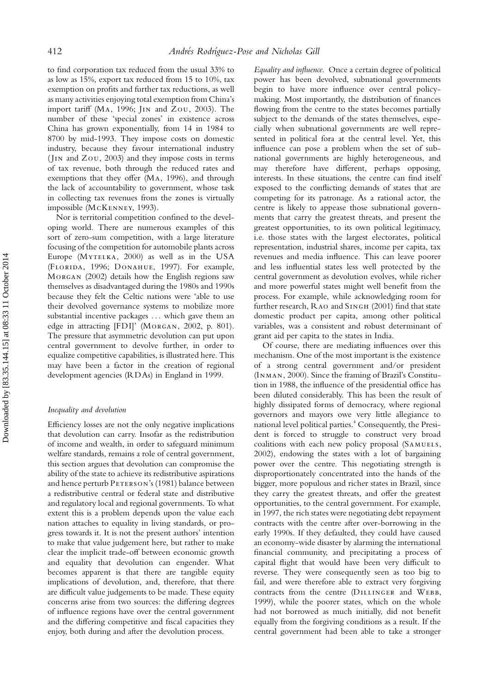to find corporation tax reduced from the usual 33% to *Equality and influence.* Once a certain degree of political as low as 15%, export tax reduced from 15 to 10%, tax power has been devolved, subnational governments exemption on profits and further tax reductions, as well begin to have more influence over central policyas many activities enjoying total exemption from China's making. Most importantly, the distribution of finances import tariff (MA, 1996; JIN and ZOU, 2003). The flowing from the centre to the states becomes partially number of these 'special zones' in existence across subject to the demands of the states themselves, espe-China has grown exponentially, from 14 in 1984 to cially when subnational governments are well repre-8700 by mid-1993. They impose costs on domestic sented in political fora at the central level. Yet, this industry, because they favour international industry influence can pose a problem when the set of sub- (JIN and ZOU, 2003) and they impose costs in terms national governments are highly heterogeneous, and of tax revenue, both through the reduced rates and may therefore have different, perhaps opposing, exemptions that they offer (MA, 1996), and through interests. In these situations, the centre can find itself the lack of accountability to government, whose task exposed to the conflicting demands of states that are in collecting tax revenues from the zones is virtually competing for its patronage. As a rational actor, the impossible (MCKENNEY, 1993). centre is likely to appease those subnational govern-

oping world. There are numerous examples of this greatest opportunities, to its own political legitimacy, sort of zero-sum competition, with a large literature i.e. those states with the largest electorates, political focusing of the competition for automobile plants across representation, industrial shares, income per capita, tax Europe (MYTELKA, 2000) as well as in the USA revenues and media influence. This can leave poorer (FLORIDA, 1996; DONAHUE, 1997). For example, and less influential states less well protected by the M (2002) details how the English regions saw central government as devolution evolves, while richer themselves as disadvantaged during the 1980s and 1990s and more powerful states might well benefit from the because they felt the Celtic nations were 'able to use process. For example, while acknowledging room for their devolved governance systems to mobilize more further research,  $R_{AO}$  and  $S_{INGH}$  (2001) find that state substantial incentive packages ... which gave them an domestic product per capita, among other political edge in attracting [FDI]' (MORGAN, 2002, p. 801). variables, was a consistent and robust determinant of The pressure that asymmetric devolution can put upon grant aid per capita to the states in India. central government to devolve further, in order to Of course, there are mediating influences over this equalize competitive capabilities, is illustrated here. This mechanism. One of the most important is the existence may have been a factor in the creation of regional of a strong central government and/or president development agencies (RDAs) in England in 1999. (INMAN, 2000). Since the framing of Brazil's Constitu-

Efficiency losses are not the only negative implications anational level political parties.<sup>4</sup> Consequently, the Presithat devolution can carry. Insofar as the redistribution dent is forced to struggle to construct very broad of income and wealth, in order to safeguard minimum coalitions with each new policy proposal (S, welfare standards, remains a role of central government, 2002), endowing the states with a lot of bargaining this section argues that devolution can compromise the power over the centre. This negotiating strength is ability of the state to achieve its redistributive aspirations disproportionately concentrated into the hands of the and hence perturb PETERSON's (1981) balance between bigger, more populous and richer states in Brazil, since a redistributive central or federal state and distributive they carry the greatest threats, and offer the greatest and regulatory local and regional governments. To what opportunities, to the central government. For example, extent this is a problem depends upon the value each in 1997, the rich states were negotiating debt repayment nation attaches to equality in living standards, or pro- contracts with the centre after over-borrowing in the gress towards it. It is not the present authors' intention early 1990s. If they defaulted, they could have caused to make that value judgement here, but rather to make an economy-wide disaster by alarming the international clear the implicit trade-off between economic growth financial community, and precipitating a process of and equality that devolution can engender. What capital flight that would have been very difficult to becomes apparent is that there are tangible equity reverse. They were consequently seen as too big to implications of devolution, and, therefore, that there fail, and were therefore able to extract very forgiving are difficult value judgements to be made. These equity contracts from the centre  $(DILLINGER)$  and WEBB, concerns arise from two sources: the differing degrees 1999), while the poorer states, which on the whole of influence regions have over the central government had not borrowed as much initially, did not benefit and the differing competitive and fiscal capacities they equally from the forgiving conditions as a result. If the enjoy, both during and after the devolution process. central government had been able to take a stronger

Nor is territorial competition confined to the devel- ments that carry the greatest threats, and present the

tion in 1988, the influence of the presidential office has been diluted considerably. This has been the result of highly dissipated forms of democracy, where regional *Inequality and devolution* governors and mayors owe very little allegiance to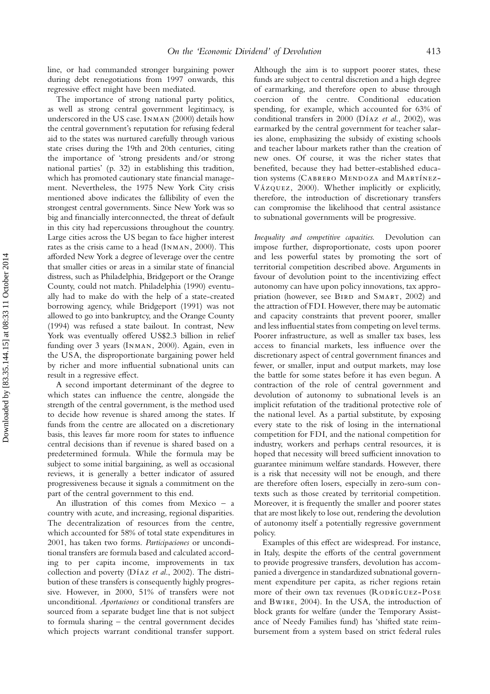during debt renegotiations from 1997 onwards, this funds are subject to central discretion and a high degree regressive effect might have been mediated.  $\qquad \qquad$  of earmarking, and therefore open to abuse through

the central government's reputation for refusing federal earmarked by the central government for teacher salarnational parties' (p. 32) in establishing this tradition, benefited, because they had better-established educawhich has promoted cautionary state financial manage- tion systems (CABRERO MENDOZA and MARTÍNEZment. Nevertheless, the 1975 New York City crisis VÁZQUEZ, 2000). Whether implicitly or explicitly, mentioned above indicates the fallibility of even the therefore, the introduction of discretionary transfers strongest central governments. Since New York was so can compromise the likelihood that central assistance big and financially interconnected, the threat of default to subnational governments will be progressive. in this city had repercussions throughout the country. Large cities across the US began to face higher interest *Inequality and competitive capacities.* Devolution can rates as the crisis came to a head (INMAN, 2000). This impose further, disproportionate, costs upon poorer borrowing agency, while Bridgeport (1991) was not the attraction of FDI. However, there may be automatic allowed to go into bankruptcy, and the Orange County and capacity constraints that prevent poorer, smaller (1994) was refused a state bailout. In contrast, New and less influential states from competing on level terms. the USA, the disproportionate bargaining power held discretionary aspect of central government finances and

which states can influence the centre, alongside the devolution of autonomy to subnational levels is an strength of the central government, is the method used implicit refutation of the traditional protective role of to decide how revenue is shared among the states. If the national level. As a partial substitute, by exposing funds from the centre are allocated on a discretionary every state to the risk of losing in the international basis, this leaves far more room for states to influence competition for FDI, and the national competition for central decisions than if revenue is shared based on a industry, workers and perhaps central resources, it is predetermined formula. While the formula may be hoped that necessity will breed sufficient innovation to subject to some initial bargaining, as well as occasional guarantee minimum welfare standards. However, there reviews, it is generally a better indicator of assured is a risk that necessity will not be enough, and there progressiveness because it signals a commitment on the are therefore often losers, especially in zero-sum conpart of the central government to this end. texts such as those created by territorial competition.

country with acute, and increasing, regional disparities. that are most likely to lose out, rendering the devolution The decentralization of resources from the centre, of autonomy itself a potentially regressive government which accounted for 58% of total state expenditures in policy. 2001, has taken two forms. *Participaciones* or uncondi- Examples of this effect are widespread. For instance, tional transfers are formula based and calculated accord- in Italy, despite the efforts of the central government ing to per capita income, improvements in tax to provide progressive transfers, devolution has accomcollection and poverty (DíAz et al., 2002). The distri- panied a divergence in standardized subnational governbution of these transfers is consequently highly progres- ment expenditure per capita, as richer regions retain sive. However, in 2000, 51% of transfers were not more of their own tax revenues ( $R$ ODRIGUEZ-POSE unconditional. *Aportaciones* or conditional transfers are and BWIRE, 2004). In the USA, the introduction of sourced from a separate budget line that is not subject block grants for welfare (under the Temporary Assistto formula sharing – the central government decides ance of Needy Families fund) has 'shifted state reimwhich projects warrant conditional transfer support. bursement from a system based on strict federal rules

line, or had commanded stronger bargaining power Although the aim is to support poorer states, these The importance of strong national party politics, coercion of the centre. Conditional education as well as strong central government legitimacy, is spending, for example, which accounted for 63% of underscored in the US case. INMAN (2000) details how conditional transfers in 2000 (DíAz et al., 2002), was aid to the states was nurtured carefully through various ies alone, emphasizing the subsidy of existing schools state crises during the 19th and 20th centuries, citing and teacher labour markets rather than the creation of the importance of 'strong presidents and/or strong new ones. Of course, it was the richer states that

afforded New York a degree of leverage over the centre and less powerful states by promoting the sort of that smaller cities or areas in a similar state of financial territorial competition described above. Arguments in distress, such as Philadelphia, Bridgeport or the Orange favour of devolution point to the incentivizing effect County, could not match. Philadelphia (1990) eventu- autonomy can have upon policy innovations, tax approally had to make do with the help of a state-created priation (however, see BIRD and SMART, 2002) and York was eventually offered US\$2.3 billion in relief Poorer infrastructure, as well as smaller tax bases, less funding over 3 years (INMAN, 2000). Again, even in access to financial markets, less influence over the by richer and more influential subnational units can fewer, or smaller, input and output markets, may lose result in a regressive effect. The battle for some states before it has even begun. A A second important determinant of the degree to contraction of the role of central government and An illustration of this comes from Mexico – a Moreover, it is frequently the smaller and poorer states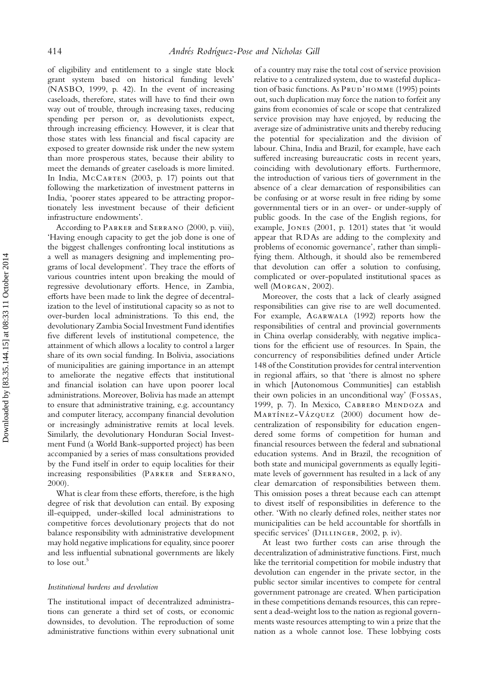grant system based on historical funding levels' relative to a centralized system, due to wasteful duplica- (NASBO, 1999, p. 42). In the event of increasing tion of basic functions. As  $P_{\text{RUD}}'$  homme (1995) points caseloads, therefore, states will have to find their own out, such duplication may force the nation to forfeit any way out of trouble, through increasing taxes, reducing gains from economies of scale or scope that centralized spending per person or, as devolutionists expect, service provision may have enjoyed, by reducing the through increasing efficiency. However, it is clear that average size of administrative units and thereby reducing those states with less financial and fiscal capacity are the potential for specialization and the division of exposed to greater downside risk under the new system labour. China, India and Brazil, for example, have each than more prosperous states, because their ability to suffered increasing bureaucratic costs in recent years, meet the demands of greater caseloads is more limited. coinciding with devolutionary efforts. Furthermore, In India, McCARTEN (2003, p. 17) points out that the introduction of various tiers of government in the following the marketization of investment patterns in absence of a clear demarcation of responsibilities can India, 'poorer states appeared to be attracting propor- be confusing or at worse result in free riding by some tionately less investment because of their deficient governmental tiers or in an over- or under-supply of infrastructure endowments'. public goods. In the case of the English regions, for

'Having enough capacity to get the job done is one of appear that RDAs are adding to the complexity and the biggest challenges confronting local institutions as problems of economic governance', rather than simplia well as managers designing and implementing pro- fying them. Although, it should also be remembered grams of local development'. They trace the efforts of that devolution can offer a solution to confusing, various countries intent upon breaking the mould of complicated or over-populated institutional spaces as regressive devolutionary efforts. Hence, in Zambia, well (MORGAN, 2002). efforts have been made to link the degree of decentral- Moreover, the costs that a lack of clearly assigned ization to the level of institutional capacity so as not to responsibilities can give rise to are well documented. over-burden local administrations. To this end, the For example, A GARWALA (1992) reports how the devolutionary Zambia Social Investment Fund identifies responsibilities of central and provincial governments five different levels of institutional competence, the in China overlap considerably, with negative implicaattainment of which allows a locality to control a larger tions for the efficient use of resources. In Spain, the share of its own social funding. In Bolivia, associations concurrency of responsibilities defined under Article of municipalities are gaining importance in an attempt 148 of the Constitution provides for central intervention to ameliorate the negative effects that institutional in regional affairs, so that 'there is almost no sphere and financial isolation can have upon poorer local in which [Autonomous Communities] can establish administrations. Moreover, Bolivia has made an attempt their own policies in an unconditional way' (FossAs, to ensure that administrative training, e.g. accountancy 1999, p. 7). In Mexico, CABRERO MENDOZA and and computer literacy, accompany financial devolution MARTÍNEZ-VÁZQUEZ (2000) document how deor increasingly administrative remits at local levels. centralization of responsibility for education engen-Similarly, the devolutionary Honduran Social Invest- dered some forms of competition for human and ment Fund (a World Bank-supported project) has been financial resources between the federal and subnational accompanied by a series of mass consultations provided education systems. And in Brazil, the recognition of by the Fund itself in order to equip localities for their both state and municipal governments as equally legitiincreasing responsibilities (PARKER and SERRANO, mate levels of government has resulted in a lack of any 2000). clear demarcation of responsibilities between them.

degree of risk that devolution can entail. By exposing to divest itself of responsibilities in deference to the ill-equipped, under-skilled local administrations to other. 'With no clearly defined roles, neither states nor competitive forces devolutionary projects that do not municipalities can be held accountable for shortfalls in balance responsibility with administrative development specific services' (DILLINGER, 2002, p. iv). may hold negative implications for equality, since poorer At least two further costs can arise through the and less influential subnational governments are likely decentralization of administrative functions. First, much to lose out.<sup>5</sup> like the territorial competition for mobile industry that

downsides, to devolution. The reproduction of some ments waste resources attempting to win a prize that the administrative functions within every subnational unit nation as a whole cannot lose. These lobbying costs

of eligibility and entitlement to a single state block of a country may raise the total cost of service provision According to PARKER and SERRANO (2000, p. viii), example, JONES (2001, p. 1201) states that 'it would

What is clear from these efforts, therefore, is the high This omission poses a threat because each can attempt

devolution can engender in the private sector, in the public sector similar incentives to compete for central *Institutional burdens and devolution* government patronage are created. When participation The institutional impact of decentralized administra- in these competitions demands resources, this can repretions can generate a third set of costs, or economic sent a dead-weight loss to the nation as regional govern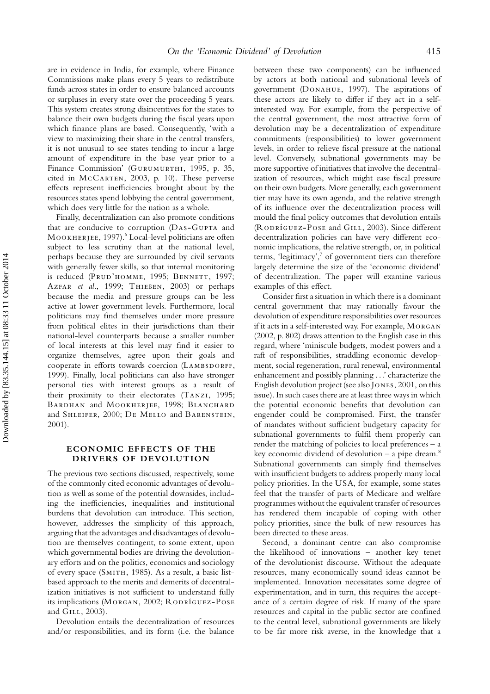are in evidence in India, for example, where Finance between these two components) can be influenced Commissions make plans every 5 years to redistribute by actors at both national and subnational levels of funds across states in order to ensure balanced accounts government (DONAHUE, 1997). The aspirations of or surpluses in every state over the proceeding 5 years. these actors are likely to differ if they act in a self-This system creates strong disincentives for the states to interested way. For example, from the perspective of balance their own budgets during the fiscal years upon the central government, the most attractive form of which finance plans are based. Consequently, 'with a devolution may be a decentralization of expenditure view to maximizing their share in the central transfers, commitments (responsibilities) to lower government it is not unusual to see states tending to incur a large levels, in order to relieve fiscal pressure at the national amount of expenditure in the base year prior to a level. Conversely, subnational governments may be Finance Commission' (GURUMURTHI, 1995, p. 35, more supportive of initiatives that involve the decentralcited in MC, 2003, p. 10). These perverse ization of resources, which might ease fiscal pressure effects represent inefficiencies brought about by the on their own budgets. More generally, each government resources states spend lobbying the central government, tier may have its own agenda, and the relative strength which does very little for the nation as a whole.  $\qquad \qquad$  of its influence over the decentralization process will

MOOKHERJEE, 1997). <sup>6</sup> Local-level politicians are often decentralization policies can have very different ecosubject to less scrutiny than at the national level, nomic implications, the relative strength, or, in political perhaps because they are surrounded by civil servants terms, 'legitimacy',' of government tiers can therefore with generally fewer skills, so that internal monitoring largely determine the size of the 'economic dividend' is reduced (PRUD'HOMME, 1995; BENNETT, 1997; of decentralization. The paper will examine various AZFAR et al., 1999; THIEBEN, 2003) or perhaps examples of this effect. because the media and pressure groups can be less Consider first a situation in which there is a dominant active at lower government levels. Furthermore, local central government that may rationally favour the politicians may find themselves under more pressure devolution of expenditure responsibilities over resources from political elites in their jurisdictions than their if it acts in a self-interested way. For example, M national-level counterparts because a smaller number (2002, p. 802) draws attention to the English case in this of local interests at this level may find it easier to regard, where 'miniscule budgets, modest powers and a organize themselves, agree upon their goals and raft of responsibilities, straddling economic developcooperate in efforts towards coercion (LAMBSDORFF, ment, social regeneration, rural renewal, environmental 1999). Finally, local politicians can also have stronger enhancement and possibly planning . . .' characterize the personal ties with interest groups as a result of English devolution project (see also JONES, 2001, on this their proximity to their electorates (TANZI, 1995; issue). In such cases there are at least three ways in which BARDHAN and MOOKHERJEE, 1998; BLANCHARD the potential economic benefits that devolution can and SHLEIFER, 2000; DE MELLO and BARENSTEIN, engender could be compromised. First, the transfer 2001). of mandates without sufficient budgetary capacity for

of the commonly cited economic advantages of devolu- policy priorities. In the USA, for example, some states tion as well as some of the potential downsides, includ- feel that the transfer of parts of Medicare and welfare ing the inefficiencies, inequalities and institutional programmes without the equivalent transfer of resources burdens that devolution can introduce. This section, has rendered them incapable of coping with other however, addresses the simplicity of this approach, policy priorities, since the bulk of new resources has arguing that the advantages and disadvantages of devolu- been directed to these areas. tion are themselves contingent, to some extent, upon Second, a dominant centre can also compromise which governmental bodies are driving the devolution-<br>the likelihood of innovations – another key tenet ary efforts and on the politics, economics and sociology of the devolutionist discourse. Without the adequate of every space (S, 1985). As a result, a basic list- resources, many economically sound ideas cannot be based approach to the merits and demerits of decentral- implemented. Innovation necessitates some degree of ization initiatives is not sufficient to understand fully experimentation, and in turn, this requires the acceptits implications (MORGAN, 2002; RODRÍGUEZ-POSE ance of a certain degree of risk. If many of the spare and GILL, 2003). The resources and capital in the public sector are confined

and/or responsibilities, and its form (i.e. the balance to be far more risk averse, in the knowledge that a

Finally, decentralization can also promote conditions mould the final policy outcomes that devolution entails that are conducive to corruption (DAS-GUPTA and (RODRÍGUEZ-POSE and GILL, 2003). Since different

subnational governments to fulfil them properly can **ECONOMIC EFFECTS OF THE** render the matching of policies to local preferences – a key economic dividend of devolution – a pipe dream.<sup>8</sup> Subnational governments can simply find themselves The previous two sections discussed, respectively, some with insufficient budgets to address properly many local

Devolution entails the decentralization of resources to the central level, subnational governments are likely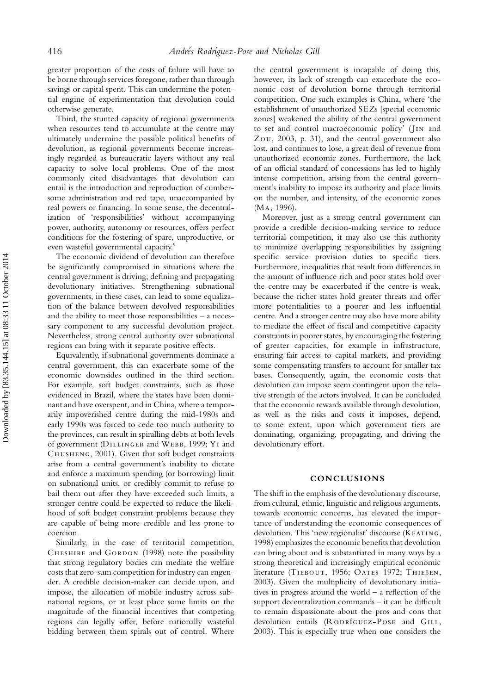be borne through services foregone, rather than through however, its lack of strength can exacerbate the ecosavings or capital spent. This can undermine the poten- nomic cost of devolution borne through territorial tial engine of experimentation that devolution could competition. One such examples is China, where 'the otherwise generate. establishment of unauthorized SEZs [special economic

when resources tend to accumulate at the centre may bo set and control macroeconomic policy' (JIN and ultimately undermine the possible political benefits of Zou, 2003, p. 31), and the central government also devolution, as regional governments become increas- lost, and continues to lose, a great deal of revenue from ingly regarded as bureaucratic layers without any real unauthorized economic zones. Furthermore, the lack capacity to solve local problems. One of the most of an official standard of concessions has led to highly commonly cited disadvantages that devolution can intense competition, arising from the central governentail is the introduction and reproduction of cumber- ment's inability to impose its authority and place limits some administration and red tape, unaccompanied by on the number, and intensity, of the economic zones real powers or financing. In some sense, the decentral- (MA, 1996). ization of 'responsibilities' without accompanying Moreover, just as a strong central government can power, authority, autonomy or resources, offers perfect provide a credible decision-making service to reduce conditions for the fostering of spare, unproductive, or territorial competition, it may also use this authority even wasteful governmental capacity.<sup>9</sup> to minimize overlapping responsibilities by assigning

be significantly compromised in situations where the Furthermore, inequalities that result from differences in central government is driving, defining and propagating the amount of influence rich and poor states hold over devolutionary initiatives. Strengthening subnational the centre may be exacerbated if the centre is weak, governments, in these cases, can lead to some equaliza- because the richer states hold greater threats and offer tion of the balance between devolved responsibilities more potentialities to a poorer and less influential and the ability to meet those responsibilities – a neces- centre. And a stronger centre may also have more ability sary component to any successful devolution project. to mediate the effect of fiscal and competitive capacity Nevertheless, strong central authority over subnational constraints in poorer states, by encouraging the fostering regions can bring with it separate positive effects. of greater capacities, for example in infrastructure,

For example, soft budget constraints, such as those devolution can impose seem contingent upon the relaevidenced in Brazil, where the states have been domi- tive strength of the actors involved. It can be concluded nant and have overspent, and in China, where a tempor- that the economic rewards available through devolution, arily impoverished centre during the mid-1980s and as well as the risks and costs it imposes, depend, early 1990s was forced to cede too much authority to to some extent, upon which government tiers are the provinces, can result in spiralling debts at both levels dominating, organizing, propagating, and driving the of government (DILLINGER and WEBB, 1999; YI and devolutionary effort. CHUSHENG, 2001). Given that soft budget constraints arise from a central government's inability to dictate and enforce a maximum spending (or borrowing) limit **CONCLUSIONS**<br> **CONCLUSIONS** bail them out after they have exceeded such limits, a The shift in the emphasis of the devolutionary discourse, stronger centre could be expected to reduce the likeli- from cultural, ethnic, linguistic and religious arguments, hood of soft budget constraint problems because they towards economic concerns, has elevated the impor-

CHESHIRE and GORDON  $(1998)$  note the possibility can bring about and is substantiated in many ways by a that strong regulatory bodies can mediate the welfare strong theoretical and increasingly empirical economic costs that zero-sum competition for industry can engen-<br>literature (TIEBOUT, 1956; OATES 1972; THIEBEN, der. A credible decision-maker can decide upon, and 2003). Given the multiplicity of devolutionary initiaimpose, the allocation of mobile industry across sub- tives in progress around the world – a reflection of the national regions, or at least place some limits on the support decentralization commands – it can be difficult magnitude of the financial incentives that competing to remain dispassionate about the pros and cons that regions can legally offer, before nationally wasteful devolution entails (RODRÍGUEZ-POSE and GILL, bidding between them spirals out of control. Where 2003). This is especially true when one considers the

greater proportion of the costs of failure will have to the central government is incapable of doing this, Third, the stunted capacity of regional governments zones] weakened the ability of the central government

The economic dividend of devolution can therefore specific service provision duties to specific tiers. Equivalently, if subnational governments dominate a ensuring fair access to capital markets, and providing central government, this can exacerbate some of the some compensating transfers to account for smaller tax economic downsides outlined in the third section. bases. Consequently, again, the economic costs that

are capable of being more credible and less prone to tance of understanding the economic consequences of coercion. devolution. This 'new regionalist' discourse (KEATING, Similarly, in the case of territorial competition, 1998) emphasizes the economic benefits that devolution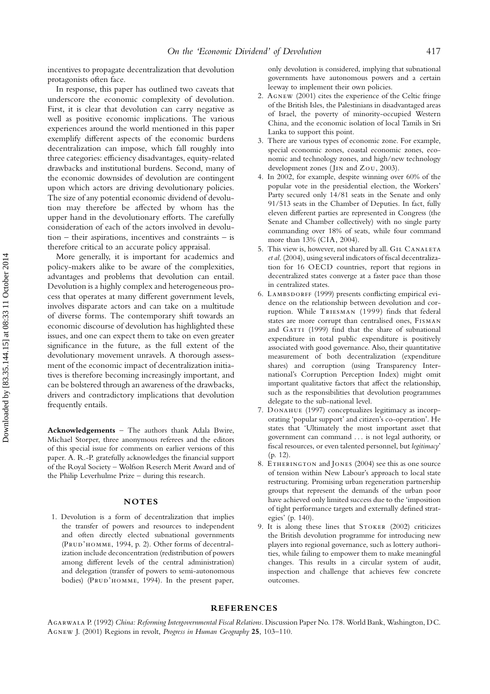incentives to propagate decentralization that devolution only devolution is considered, implying that subnational

In response, this paper has outlined two caveats that<br>
underscore the economic complexity of devolution.<br>
First, it is clear that devolution can carry negative as<br>
well as positive economic implications. The various<br>
exper decentralization can impose, which fall roughly into special economic zones, coastal economic zones, ecothree categories: efficiency disadvantages, equity-related nomic and technology zones, and high/new technology drawbacks and institutional burdens. Second, many of development zones (JIN and  $Z_{\text{OU}}$ , 2003). the economic downsides of devolution are contingent  $\frac{4. \text{ In } 2002, \text{ for example, despite winning over } 60\% \text{ of the}}{1000 \text{ when } 4. \text{ In } 2002, \text{ for example, despite winning over } 60\% \text{ of the}}$ upon which actors are driving devolutionary policies. popular vote in the presidential election, the Workers'<br>The size of any potential economic dividend of devoluse of Party secured only 14/81 seats in the Senate and only The size of any potential economic dividend of devolu-<br>
tion may therefore be affected by whom has the<br>
upper hand in the devolutionary efforts. The carefully<br>
eleven different parties are represented in Congress (the<br>
ele

policy-makers alike to be aware of the complexities, tion for 16 OECD countries, report that regions in advantages and problems that devolution can entail. advantages and problems that devolution can entail. decentralized states convergences converge at a factor parameter  $\frac{1}{2}$  for  $\frac{1}{2}$  for  $\frac{1}{2}$  for  $\frac{1}{2}$  for  $\frac{1}{2}$  for  $\frac{1}{2}$  for  $\frac{1}{2}$  for  $\frac{1}{2$ Devolution is a highly complex and heterogeneous pro-<br>  $\frac{1}{2}$  in centralized states.<br>  $\frac{1}{2}$   $\frac{1}{2}$   $\frac{1}{2}$   $\frac{1}{2}$   $\frac{1}{2}$   $\frac{1}{2}$   $\frac{1}{2}$   $\frac{1}{2}$   $\frac{1}{2}$   $\frac{1}{2}$   $\frac{1}{2}$   $\frac{1}{2}$   $\frac{1}{2}$   $\frac$ Exercise in a many different government levels,<br>
involves disparate actors and can take on a multitude<br>
of diverse forms. The contemporary shift towards an<br>
economic discourse of devolution has highlighted these<br>
and GATTI ECONOMIC CONSECTED SIGNS A CONTROLLED SIGNS AND SERVEN SIGNS AND SERVEN SIGNS AND SERVEN SIGNS A SERVEN SIGNS A THE SERVEN SIGNS AND SERVEN SIGNS A SERVEN SIGNS A SERVEN SIGNS A THE ASSOCIATED AND ASSOCIATED THE ASSOCIATED ment of the economic impact of decentralization initia- shares) and corruption (using Transparency Intertives is therefore becoming increasingly important, and national's Corruption Perception Index) might omit<br>can be bolstered through an awareness of the drawbacks important qualitative factors that affect the relationship, Can be bolstered through an awareness of the drawbacks,<br>drivers and contradictory implications that devolution<br>frequently entails.<br>T. DONAHUE (1997) conceptualizes legitimacy as incorp-

Michael Storper, three anonymous referees and the editors government can command ... is not legal authority, or<br>of this special issue for comments on earlier versions of this fiscal resources, or even talented personnel, b of this special issue for comments on earlier versions of this<br>paper. A. R.-P. gratefully acknowledges the financial support<br>of the Royal Society – Wolfson Reserch Merit Award and of<br>the Philin I everhulme Prize – during t

1. Devolution is a form of decentralization that implies egies' (p. 140). the transfer of powers and resources to independent 9. It is along these lines that STOKER (2002) criticizes bodies) (PRUD'HOMME, 1994). In the present paper, outcomes.

protagonists often face.<br>
In response this paper has outlined two caveats that leeway to implement their own policies.

- 
- 
- 
- More generally, it is important for academics and *et al*. (2004), using several indicators of fiscal decentraliza
	- measurement of both decentralization (expenditure
- orating 'popular support' and citizen's co-operation'. He **Acknowledgements** – The authors thank Adala Bwire, states that 'Ultimately the most important asset that Michael Storper three anonymous referees and the editors government can command ... is not legal authority, or
- the Philip Leverhulme Prize during this research. The restructuring of tension within New Labour's approach to local state<br>restructuring. Promising urban regeneration partnership groups that represent the demands of the urban poor **NOTES** have achieved only limited success due to the 'imposition of tight performance targets and externally defined strat
	- and often directly elected subnational governments the British devolution programme for introducing new (PRUD'HOMME, 1994, p. 2). Other forms of decentral-<br>
	ization include deconcentration (redistribution of powers ties, while failing to empower them to make meaningful ties, while failing to empower them to make meaningful among different levels of the central administration) changes. This results in a circular system of audit, and delegation (transfer of powers to semi-autonomous inspection and challenge that achieves few concrete

### **REFERENCES**

A P. (1992) *China: Reforming Intergovernmental Fiscal Relations*. Discussion Paper No. 178. World Bank, Washington, DC. A J. (2001) Regions in revolt, *Progress in Human Geography* **25**, 103–110.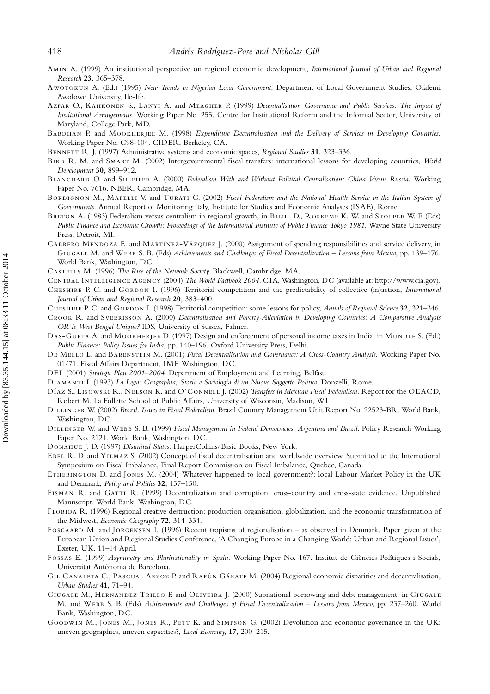- A A. (1999) An institutional perspective on regional economic development, *International Journal of Urban and Regional Research* **23**, 365–378.
- AWOTOKUN A. (Ed.) (1995) *New Trends in Nigerian Local Government*. Department of Local Government Studies, Ofafemi Awolowo University, Ile-Ife.
- AZFAR O., KAHKONEN S., LANYI A. and MEAGHER P. (1999) *Decentralisation Governance and Public Services: The Impact of Institutional Arrangements*. Working Paper No. 255. Centre for Institutional Reform and the Informal Sector, University of Maryland, College Park, MD.
- BARDHAN P. and MOOKHERJEE M. (1998) *Expenditure Decentralisation and the Delivery of Services in Developing Countries*. Working Paper No. C98-104. CIDER, Berkeley, CA.
- B R. J. (1997) Administrative systems and economic spaces, *Regional Studies* **31**, 323–336.
- BIRD R. M. and SMART M. (2002) Intergovernmental fiscal transfers: international lessons for developing countries, *World Development* **30**, 899–912.
- BLANCHARD O. and SHLEIFER A. (2000) Federalism With and Without Political Centralisation: China Versus Russia. Working Paper No. 7616. NBER, Cambridge, MA.
- BORDIGNON M., MAPELLI V. and TURATI G. (2002) *Fiscal Federalism and the National Health Service in the Italian System of Governments*. Annual Report of Monitoring Italy, Institute for Studies and Economic Analyses (ISAE), Rome.
- BRETON A. (1983) Federalism versus centralism in regional growth, in BIEHL D., ROSKEMP K. W. and STOLPER W. F. (Eds) *Public Finance and Economic Growth: Proceedings of the International Institute of Public Finance Tokyo 1981*. Wayne State University Press, Detroit, MI.
- CABRERO MENDOZA E. and MARTÍNEZ-VÁZQUEZ J. (2000) Assignment of spending responsibilities and service delivery, in GIUGALE M. and WEBB S. B. (Eds) *Achievements and Challenges of Fiscal Decentralization* – Lessons from Mexico, pp. 139–176. World Bank, Washington, DC.
- CASTELLS M. (1996) *The Rise of the Network Society*. Blackwell, Cambridge, MA.
- CENTRAL INTELLIGENCE AGENCY (2004) The World Factbook 2004. CIA, Washington, DC (available at: http://www.cia.gov).
- CHESHIRE P. C. and GORDON I. (1996) Territorial competition and the predictability of collective (in)action, *International Journal of Urban and Regional Research* **20**, 383–400.
- CHESHIRE P. C. and GORDON I. (1998) Territorial competition: some lessons for policy, Annals of Regional Science 32, 321-346.
- CROOK R. and SVERRISSON A. (2000) *Decentralisation and Poverty-Alleviation in Developing Countries: A Comparative Analysis OR Is West Bengal Unique?* IDS, University of Sussex, Falmer.
- DAS-GUPTA A. and MOOKHERJEE D. (1997) Design and enforcement of personal income taxes in India, in MUNDLE S. (Ed.) *Public Finance: Policy Issues for India*, pp. 140–196. Oxford University Press, Delhi.
- DE MELLO L. and BARENSTEIN M. (2001) *Fiscal Decentralisation and Governance: A Cross-Country Analysis*. Working Paper No. 01/71. Fiscal Affairs Department, IMF, Washington, DC.
- DEL (2001) *Strategic Plan 2001–2004*. Department of Employment and Learning, Belfast.
- D I. (1993) *La Lega: Geographia, Storia e Sociologia di un Nuovo Soggetto Politico*. Donzelli, Rome.
- DíAz S., LISOWSKI R., NELSON K. and O'CONNELL J. (2002) *Transfers in Mexican Fiscal Federalism*. Report for the OEACD, Robert M. La Follette School of Public Affairs, University of Wisconsin, Madison, WI.
- D W. (2002) *Brazil. Issues in Fiscal Federalism*. Brazil Country Management Unit Report No. 22523-BR. World Bank, Washington, DC.
- DILLINGER W. and WEBB S. B. (1999) *Fiscal Management in Federal Democracies: Argentina and Brazil*. Policy Research Working Paper No. 2121. World Bank, Washington, DC.
- D J. D. (1997) *Disunited States*. HarperCollins/Basic Books, New York.
- EBEL R. D. and YILMAZ S. (2002) Concept of fiscal decentralisation and worldwide overview. Submitted to the International Symposium on Fiscal Imbalance, Final Report Commission on Fiscal Imbalance, Quebec, Canada.
- ETHERINGTON D. and JONES M. (2004) Whatever happened to local government?: local Labour Market Policy in the UK and Denmark, *Policy and Politics* **32**, 137–150.
- FISMAN R. and GATTI R. (1999) Decentralization and corruption: cross-country and cross-state evidence. Unpublished Manuscript. World Bank, Washington, DC.
- FLORIDA R. (1996) Regional creative destruction: production organisation, globalization, and the economic transformation of the Midwest, *Economic Geography* **72**, 314–334.
- FOSGAARD M. and JORGENSEN I. (1996) Recent tropisms of regionalisation as observed in Denmark. Paper given at the European Union and Regional Studies Conference, 'A Changing Europe in a Changing World: Urban and Regional Issues', Exeter, UK, 11–14 April.
- FOSSAS E. (1999) *Asymmetry and Plurinationality in Spain*. Working Paper No. 167. Institut de Ciències Polítiques i Socials, Universitat Autònoma de Barcelona.
- GIL CANALETA C., PASCUAL ARZOZ P. and RAPÚN GÁRATE M. (2004) Regional economic disparities and decentralisation, *Urban Studies* **41**, 71–94.
- GIUGALE M., HERNANDEZ TRILLO F. and OLIVEIRA J. (2000) Subnational borrowing and debt management, in GIUGALE M. and W S. B. (Eds) *Achievements and Challenges of Fiscal Decentralization – Lessons from Mexico*, pp. 237–260. World Bank, Washington, DC.
- GOODWIN M., JONES M., JONES R., PETT K. and SIMPSON G. (2002) Devolution and economic governance in the UK: uneven geographies, uneven capacities?, *Local Economy*, **17**, 200–215.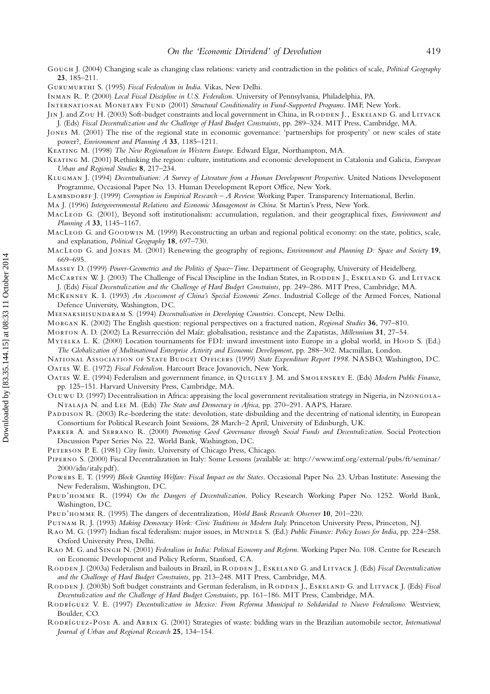GURUMURTHI S. (1995) *Fiscal Federalism in India*. Vikas, New Delhi. I R. P. (2000) *Local Fiscal Discipline in U.S. Federalism*. University of Pennsylvania, Philadelphia, PA. INTERNATIONAL MONETARY FUND (2001) Structural Conditionality in Fund-Supported Programs. IMF, New York. JIN J. and ZOU H. (2003) Soft-budget constraints and local government in China, in RODDEN J., ESKELAND G. and LITVACK J. (Eds) *Fiscal Decentralization and the Challenge of Hard Budget Constraints*, pp. 289–324. MIT Press, Cambridge, MA. JONES M. (2001) The rise of the regional state in economic governance: 'partnerships for prosperity' or new scales of state power?, *Environment and Planning A* **33**, 1185–1211.

**23**, 185–211.

- KEATING M. (1998) *The New Regionalism in Western Europe*. Edward Elgar, Northampton, MA.
- KEATING M. (2001) Rethinking the region: culture, institutions and economic development in Catalonia and Galicia, *European Urban and Regional Studies* **8**, 217–234.
- KLUGMAN J. (1994) *Decentralisation: A Survey of Literature from a Human Development Perspective*. United Nations Development Programme, Occasional Paper No. 13. Human Development Report Office, New York.
- LAMBSDORFF J. (1999) *Corruption in Empirical Research A Review*. Working Paper. Transparency International, Berlin.
- M J. (1996) *Intergovernmental Relations and Economic Management in China*. St Martin's Press, New York.
- MACLEOD G. (2001), Beyond soft institutionalism: accumulation, regulation, and their geographical fixes, *Environment and Planning A* **33**, 1145–1167.
- MACLEOD G. and GOODWIN M. (1999) Reconstructing an urban and regional political economy: on the state, politics, scale, and explanation, *Political Geography* **18**, 697–730.
- MACLEOD G. and JONES M. (2001) Renewing the geography of regions, *Environment and Planning D: Space and Society* 19, 669–695.
- MASSEY D. (1999) Power-Geometrics and the Politics of Space-Time. Department of Geography, University of Heidelberg.
- MCCARTEN W. J. (2003) The Challenge of Fiscal Discipline in the Indian States, in RODDEN J., ESKELAND G. and LITVACK J. (Eds) *Fiscal Decentralization and the Challenge of Hard Budget Constraints*, pp. 249–286. MIT Press, Cambridge, MA.
- MK K. I. (1993) *An Assessment of China's Special Economic Zones*. Industrial College of the Armed Forces, National Defence University, Washington, DC.
- M S. (1994) *Decentralisation in Developing Countries*. Concept, New Delhi.
- MORGAN K. (2002) The English question: regional perspectives on a fractured nation, *Regional Studies* 36, 797–810.
- MORTON A. D. (2002) La Resurrección del Maíz: globalisation, resistance and the Zapatistas, *Millennium* 31, 27–54.
- MYTELKA L. K. (2000) Location tournaments for FDI: inward investment into Europe in a global world, in H00D S. (Ed.) *The Globalization of Multinational Enterprise Activity and Economic Development*, pp. 288–302. Macmillan, London.
- NATIONAL ASSOCIATION OF STATE BUDGET OFFICERS (1999) State Expenditure Report 1998. NASBO, Washington, DC. OATES W. E. (1972) *Fiscal Federalism*. Harcourt Brace Jovanovich, New York.
- OATES W. E. (1994) Federalism and government finance, in QUIGLEY J. M. and SMOLENSKEY E. (Eds) *Modern Public Finance*, pp. 125–151. Harvard University Press, Cambridge, MA.
- OLUWU D. (1997) Decentralisation in Africa: appraising the local government revitalisation strategy in Nigeria, in NZONGOLA-NTALAJA N. and LEE M. (Eds) *The State and Democracy in Africa*, pp. 270–291. AAPS, Harare.
- PADDISON R. (2003) Re-bordering the state: devolution, state disbuilding and the decentring of national identity, in European Consortium for Political Research Joint Sessions, 28 March–2 April, University of Edinburgh, UK.
- PARKER A. and SERRANO R. (2000) Promoting Good Governance through Social Funds and Decentralization. Social Protection Discussion Paper Series No. 22. World Bank, Washington, DC.
- PETERSON P. E. (1981) *City limits*. University of Chicago Press, Chicago.
- PIPERNO S. (2000) Fiscal Decentralization in Italy: Some Lessons (available at: http://www.imf.org/external/pubs/ft/seminar/ 2000/idn/italy.pdf ).
- POWERS E. T. (1999) *Block Granting Welfare: Fiscal Impact on the States*. Occasional Paper No. 23. Urban Institute: Assessing the New Federalism, Washington, DC.
- PRUD' HOMME R. (1994) On the Dangers of Decentralization. Policy Research Working Paper No. 1252. World Bank, Washington, DC.
- PRUD' HOMME R. (1995) The dangers of decentralization, *World Bank Research Observer* 10, 201–220.
- PUTNAM R. J. (1993) Making Democracy Work: Civic Traditions in Modern Italy. Princeton University Press, Princeton, NJ.
- RAO M. G. (1997) Indian fiscal federalism: major issues, in MUNDLE S. (Ed.) *Public Finance: Policy Issues for India*, pp. 224–258. Oxford University Press, Delhi.
- RAO M. G. and SINGH N. (2001) *Federalism in India: Political Economy and Reform*. Working Paper No. 108. Centre for Research on Economic Development and Policy Reform, Stanford, CA.
- RODDEN J. (2003a) Federalism and bailouts in Brazil, in RODDEN J., ESKELAND G. and LITVACK J. (Eds) Fiscal Decentralization *and the Challenge of Hard Budget Constraints*, pp. 213–248. MIT Press, Cambridge, MA.
- RODDEN J. (2003b) Soft budget constraints and German federalism, in RODDEN J., ESKELAND G. and LITVACK J. (Eds) Fiscal *Decentralization and the Challenge of Hard Budget Constraints*, pp. 161–186. MIT Press, Cambridge, MA.
- R´ V. E. (1997) *Decentralization in Mexico: From Reforma Municipal to Solidaridad to Nuevo Federalismo*. Westview, Boulder, CO.
- RODRÍGUEZ-POSE A. and ARBIX G. (2001) Strategies of waste: bidding wars in the Brazilian automobile sector, *International Journal of Urban and Regional Research* **25**, 134–154.

G J. (2004) Changing scale as changing class relations: variety and contradiction in the politics of scale, *Political Geography*